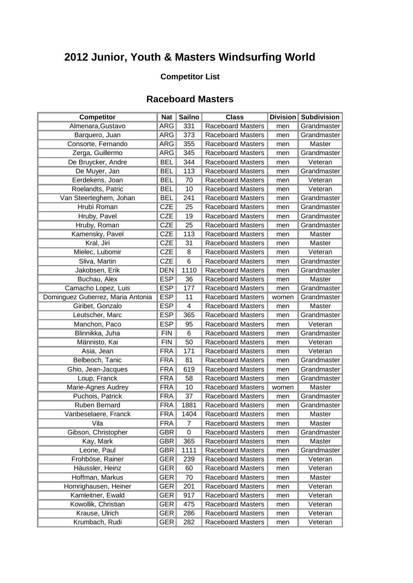## **2012 Junior, Youth & Masters Windsurfing World**

## **Competitor List**

## **Raceboard Masters**

| <b>Competitor</b>                  | Nat $ $    | <b>Sailno</b>  | <b>Class</b>             |       | Division   Subdivision |
|------------------------------------|------------|----------------|--------------------------|-------|------------------------|
| Almenara, Gustavo                  | <b>ARG</b> | 331            | <b>Raceboard Masters</b> | men   | Grandmaster            |
| Barquero, Juan                     | ARG        | 373            | <b>Raceboard Masters</b> | men   | Grandmaster            |
| Consorte, Fernando                 | ARG        | 355            | <b>Raceboard Masters</b> | men   | Master                 |
| Zerga, Guillermo                   | ARG        | 345            | <b>Raceboard Masters</b> | men   | Grandmaster            |
| De Bruycker, Andre                 | <b>BEL</b> | 344            | <b>Raceboard Masters</b> | men   | Veteran                |
| De Muyer, Jan                      | <b>BEL</b> | 113            | <b>Raceboard Masters</b> | men   | Grandmaster            |
| Eerdekens, Joan                    | <b>BEL</b> | 70             | <b>Raceboard Masters</b> | men   | Veteran                |
| Roelandts, Patric                  | <b>BEL</b> | 10             | <b>Raceboard Masters</b> | men   | Veteran                |
| Van Steerteghem, Johan             | <b>BEL</b> | 241            | <b>Raceboard Masters</b> | men   | Grandmaster            |
| Hrubì Roman                        | <b>CZE</b> | 25             | Raceboard Masters        | men   | Grandmaster            |
| Hruby, Pavel                       | <b>CZE</b> | 19             | <b>Raceboard Masters</b> | men   | Grandmaster            |
| Hruby, Roman                       | <b>CZE</b> | 25             | <b>Raceboard Masters</b> | men   | Grandmaster            |
| Kamensky, Pavel                    | <b>CZE</b> | 113            | <b>Raceboard Masters</b> | men   | Master                 |
| Kral, Jiri                         | <b>CZE</b> | 31             | <b>Raceboard Masters</b> | men   | <b>Master</b>          |
| Mielec, Lubomir                    | <b>CZE</b> | 8              | <b>Raceboard Masters</b> | men   | Veteran                |
| Sliva, Martin                      | <b>CZE</b> | $\overline{6}$ | <b>Raceboard Masters</b> | men   | Grandmaster            |
| Jakobsen, Erik                     | <b>DEN</b> | 1110           | <b>Raceboard Masters</b> | men   | Grandmaster            |
| Buchau, Alex                       | <b>ESP</b> | 36             | <b>Raceboard Masters</b> | men   | Master                 |
| Camacho Lopez, Luis                | <b>ESP</b> | 177            | <b>Raceboard Masters</b> | men   | Grandmaster            |
| Dominguez Gutierrez, Maria Antonia | <b>ESP</b> | 11             | <b>Raceboard Masters</b> | women | Grandmaster            |
| Giribet, Gonzalo                   | <b>ESP</b> | $\overline{4}$ | <b>Raceboard Masters</b> | men   | Master                 |
| Leutscher, Marc                    | <b>ESP</b> | 365            | Raceboard Masters        | men   | Grandmaster            |
| Manchon, Paco                      | <b>ESP</b> | 95             | <b>Raceboard Masters</b> | men   | Veteran                |
| Blinnikka, Juha                    | <b>FIN</b> | 6              | <b>Raceboard Masters</b> | men   | Grandmaster            |
| Männisto, Kai                      | <b>FIN</b> | 50             | <b>Raceboard Masters</b> | men   | Veteran                |
| Asia, Jean                         | <b>FRA</b> | 171            | Raceboard Masters        | men   | Veteran                |
| Belbeoch, Tanic                    | <b>FRA</b> | 81             | <b>Raceboard Masters</b> | men   | Grandmaster            |
| Ghio, Jean-Jacques                 | <b>FRA</b> | 619            | <b>Raceboard Masters</b> | men   | Grandmaster            |
| Loup, Franck                       | <b>FRA</b> | 58             | <b>Raceboard Masters</b> | men   | Grandmaster            |
| Marie-Agnes Audrey                 | <b>FRA</b> | 10             | <b>Raceboard Masters</b> | women | Master                 |
| Puchois, Patrick                   | <b>FRA</b> | 37             | <b>Raceboard Masters</b> | men   | Grandmaster            |
| Ruben Bernard                      | <b>FRA</b> | 1881           | <b>Raceboard Masters</b> | men   | Grandmaster            |
| Vanbeselaere, Franck               | <b>FRA</b> | 1404           | Raceboard Masters        | men   | Master                 |
| Vila                               | FRA        | $\overline{7}$ | Raceboard Masters        | men   | Master                 |
| Gibson, Christopher                | <b>GBR</b> | 0              | <b>Raceboard Masters</b> | men   | Grandmaster            |
| Kay, Mark                          | <b>GBR</b> | 365            | <b>Raceboard Masters</b> | men   | Master                 |
| Leone, Paul                        | <b>GBR</b> | 1111           | <b>Raceboard Masters</b> | men   | Grandmaster            |
| Frohböse, Rainer                   | <b>GER</b> | 239            | <b>Raceboard Masters</b> | men   | Veteran                |
| Häussler, Heinz                    | <b>GER</b> | 60             | <b>Raceboard Masters</b> | men   | Veteran                |
| Hoffman, Markus                    | <b>GER</b> | 70             | <b>Raceboard Masters</b> | men   | Master                 |
| Homrighausen, Heiner               | GER        | 201            | <b>Raceboard Masters</b> | men   | Veteran                |
| Kamleitner, Ewald                  | GER        | 917            | <b>Raceboard Masters</b> | men   | Veteran                |
| Kowollik, Christian                | <b>GER</b> | 475            | <b>Raceboard Masters</b> | men   | Veteran                |
| Krause, Ulrich                     | <b>GER</b> | 286            | <b>Raceboard Masters</b> | men   | Veteran                |
| Krumbach, Rudi                     | <b>GER</b> | 282            | <b>Raceboard Masters</b> | men   | Veteran                |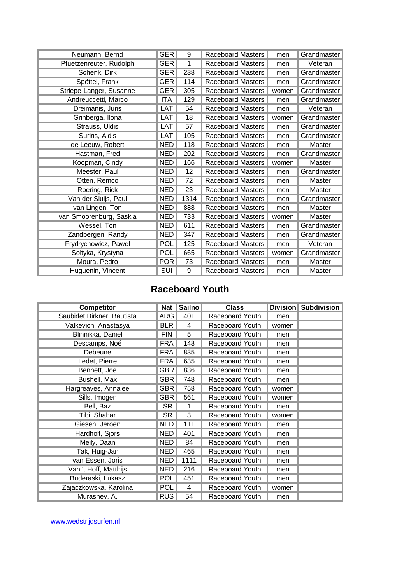| Neumann, Bernd          | <b>GER</b> | 9    | <b>Raceboard Masters</b> | men   | Grandmaster |
|-------------------------|------------|------|--------------------------|-------|-------------|
| Pfuetzenreuter, Rudolph | <b>GER</b> | 1    | <b>Raceboard Masters</b> | men   | Veteran     |
| Schenk, Dirk            | <b>GER</b> | 238  | <b>Raceboard Masters</b> | men   | Grandmaster |
| Spöttel, Frank          | <b>GER</b> | 114  | Raceboard Masters        | men   | Grandmaster |
| Striepe-Langer, Susanne | <b>GER</b> | 305  | Raceboard Masters        | women | Grandmaster |
| Andreuccetti, Marco     | ITA        | 129  | Raceboard Masters        | men   | Grandmaster |
| Dreimanis, Juris        | LAT        | 54   | <b>Raceboard Masters</b> | men   | Veteran     |
| Grinberga, Ilona        | LAT        | 18   | <b>Raceboard Masters</b> | women | Grandmaster |
| Strauss, Uldis          | LAT        | 57   | <b>Raceboard Masters</b> | men   | Grandmaster |
| Surins, Aldis           | LAT        | 105  | <b>Raceboard Masters</b> | men   | Grandmaster |
| de Leeuw, Robert        | <b>NED</b> | 118  | <b>Raceboard Masters</b> | men   | Master      |
| Hastman, Fred           | <b>NED</b> | 202  | <b>Raceboard Masters</b> | men   | Grandmaster |
| Koopman, Cindy          | <b>NED</b> | 166  | <b>Raceboard Masters</b> | women | Master      |
| Meester, Paul           | <b>NED</b> | 12   | Raceboard Masters        | men   | Grandmaster |
| Otten, Remco            | <b>NED</b> | 72   | <b>Raceboard Masters</b> | men   | Master      |
| Roering, Rick           | <b>NED</b> | 23   | <b>Raceboard Masters</b> | men   | Master      |
| Van der Sluijs, Paul    | <b>NED</b> | 1314 | <b>Raceboard Masters</b> | men   | Grandmaster |
| van Lingen, Ton         | <b>NED</b> | 888  | <b>Raceboard Masters</b> | men   | Master      |
| van Smoorenburg, Saskia | <b>NED</b> | 733  | <b>Raceboard Masters</b> | women | Master      |
| Wessel, Ton             | <b>NED</b> | 611  | <b>Raceboard Masters</b> | men   | Grandmaster |
| Zandbergen, Randy       | <b>NED</b> | 347  | <b>Raceboard Masters</b> | men   | Grandmaster |
| Frydrychowicz, Pawel    | <b>POL</b> | 125  | <b>Raceboard Masters</b> | men   | Veteran     |
| Soltyka, Krystyna       | <b>POL</b> | 665  | <b>Raceboard Masters</b> | women | Grandmaster |
| Moura, Pedro            | <b>POR</b> | 73   | <b>Raceboard Masters</b> | men   | Master      |
| Huguenin, Vincent       | <b>SUI</b> | 9    | Raceboard Masters        | men   | Master      |

## **Raceboard Youth**

| <b>Competitor</b>          | Nat $\parallel$ | <b>Sailno</b> | <b>Class</b>           |       | Division   Subdivision |
|----------------------------|-----------------|---------------|------------------------|-------|------------------------|
| Saubidet Birkner, Bautista | <b>ARG</b>      | 401           | Raceboard Youth        | men   |                        |
| Valkevich, Anastasya       | <b>BLR</b>      | 4             | Raceboard Youth        | women |                        |
| Blinnikka, Daniel          | <b>FIN</b>      | 5             | Raceboard Youth        | men   |                        |
| Descamps, Noé              | <b>FRA</b>      | 148           | Raceboard Youth        | men   |                        |
| Debeune                    | <b>FRA</b>      | 835           | Raceboard Youth        | men   |                        |
| Ledet, Pierre              | FRA             | 635           | Raceboard Youth        | men   |                        |
| Bennett, Joe               | <b>GBR</b>      | 836           | Raceboard Youth        | men   |                        |
| Bushell, Max               | <b>GBR</b>      | 748           | Raceboard Youth        | men   |                        |
| Hargreaves, Annalee        | GBR             | 758           | Raceboard Youth        | women |                        |
| Sills, Imogen              | <b>GBR</b>      | 561           | Raceboard Youth        | women |                        |
| Bell, Baz                  | <b>ISR</b>      | 1             | Raceboard Youth        | men   |                        |
| Tibi, Shahar               | <b>ISR</b>      | 3             | Raceboard Youth        | women |                        |
| Giesen, Jeroen             | <b>NED</b>      | $111$         | Raceboard Youth        | men   |                        |
| Hardholt, Sjors            | NED             | 401           | Raceboard Youth        | men   |                        |
| Meily, Daan                | <b>NED</b>      | 84            | Raceboard Youth        | men   |                        |
| Tak, Huig-Jan              | <b>NED</b>      | 465           | <b>Raceboard Youth</b> | men   |                        |
| van Essen, Joris           | NED             | 1111          | Raceboard Youth        | men   |                        |
| Van 't Hoff, Matthijs      | NED             | 216           | Raceboard Youth        | men   |                        |
| Buderaski, Lukasz          | <b>POL</b>      | 451           | Raceboard Youth        | men   |                        |
| Zajaczkowska, Karolina     | <b>POL</b>      | 4             | Raceboard Youth        | women |                        |
| Murashev, A.               | <b>RUS</b>      | 54            | Raceboard Youth        | men   |                        |

[www.wedstrijdsurfen.nl](http://www.wedstrijdsurfen.nl/)